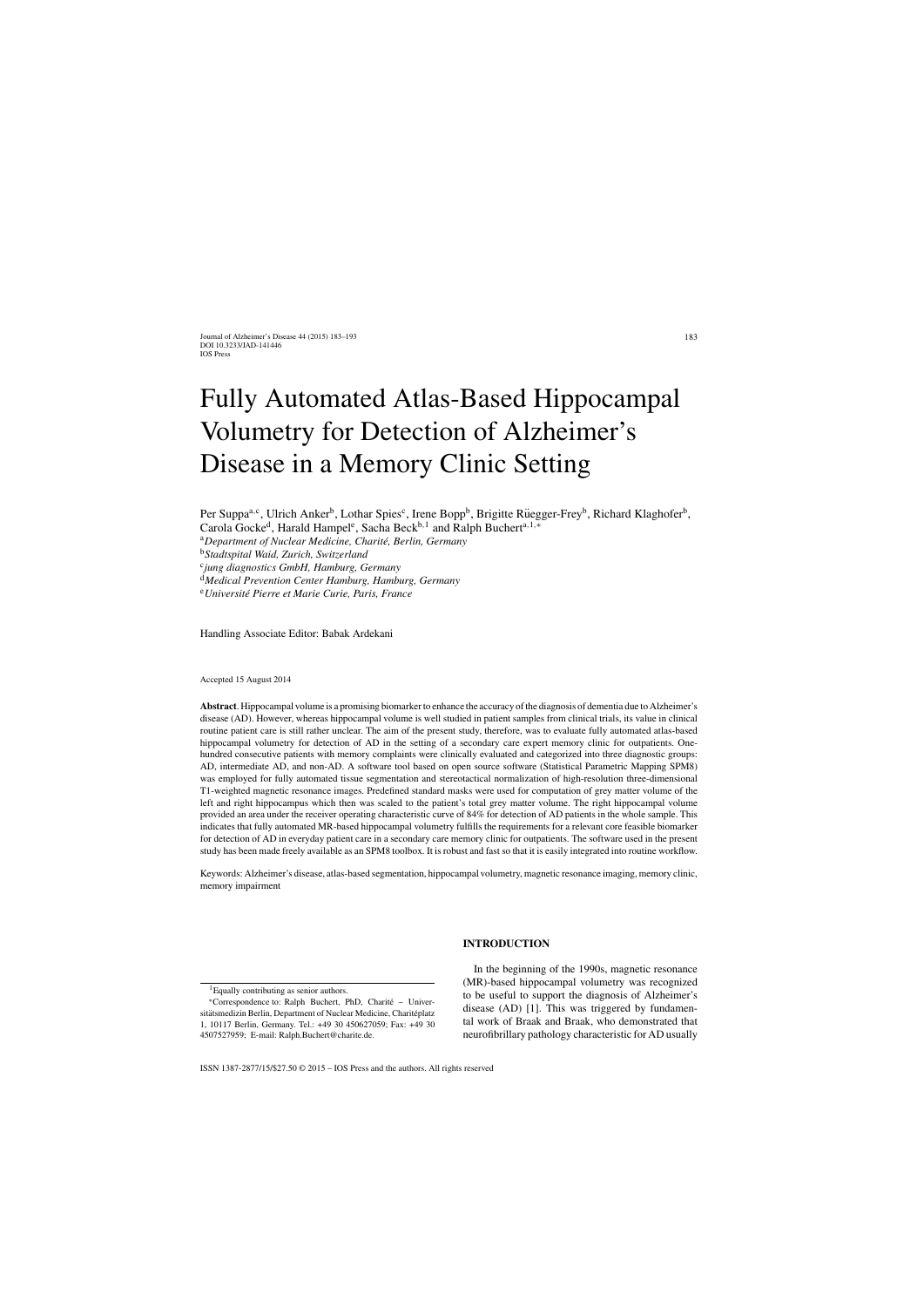# Fully Automated Atlas-Based Hippocampal Volumetry for Detection of Alzheimer's Disease in a Memory Clinic Setting

Per Suppa<sup>a,c</sup>, Ulrich Anker<sup>b</sup>, Lothar Spies<sup>c</sup>, Irene Bopp<sup>b</sup>, Brigitte Rüegger-Frey<sup>b</sup>, Richard Klaghofer<sup>b</sup>,

Carola Gocke<sup>d</sup>, Harald Hampel<sup>e</sup>, Sacha Beck<sup>b,1</sup> and Ralph Buchert<sup>a,1,∗</sup>

<sup>a</sup>Department of Nuclear Medicine, Charité, Berlin, Germany

<sup>b</sup>*Stadtspital Waid, Zurich, Switzerland*

<sup>c</sup>*jung diagnostics GmbH, Hamburg, Germany*

<sup>d</sup>*Medical Prevention Center Hamburg, Hamburg, Germany*

<sup>e</sup>*Universit´e Pierre et Marie Curie, Paris, France*

Handling Associate Editor: Babak Ardekani

Accepted 15 August 2014

**Abstract**. Hippocampal volume is a promising biomarker to enhance the accuracy of the diagnosis of dementia due to Alzheimer's disease (AD). However, whereas hippocampal volume is well studied in patient samples from clinical trials, its value in clinical routine patient care is still rather unclear. The aim of the present study, therefore, was to evaluate fully automated atlas-based hippocampal volumetry for detection of AD in the setting of a secondary care expert memory clinic for outpatients. Onehundred consecutive patients with memory complaints were clinically evaluated and categorized into three diagnostic groups: AD, intermediate AD, and non-AD. A software tool based on open source software (Statistical Parametric Mapping SPM8) was employed for fully automated tissue segmentation and stereotactical normalization of high-resolution three-dimensional T1-weighted magnetic resonance images. Predefined standard masks were used for computation of grey matter volume of the left and right hippocampus which then was scaled to the patient's total grey matter volume. The right hippocampal volume provided an area under the receiver operating characteristic curve of 84% for detection of AD patients in the whole sample. This indicates that fully automated MR-based hippocampal volumetry fulfills the requirements for a relevant core feasible biomarker for detection of AD in everyday patient care in a secondary care memory clinic for outpatients. The software used in the present study has been made freely available as an SPM8 toolbox. It is robust and fast so that it is easily integrated into routine workflow.

Keywords: Alzheimer's disease, atlas-based segmentation, hippocampal volumetry, magnetic resonance imaging, memory clinic, memory impairment

#### **INTRODUCTION**

1Equally contributing as senior authors.

In the beginning of the 1990s, magnetic resonance (MR)-based hippocampal volumetry was recognized to be useful to support the diagnosis of Alzheimer's disease (AD) [1]. This was triggered by fundamental work of Braak and Braak, who demonstrated that neurofibrillary pathology characteristic for AD usually

<sup>∗</sup>Correspondence to: Ralph Buchert, PhD, Charite – Univer- ´ sitätsmedizin Berlin, Department of Nuclear Medicine, Charitéplatz 1, 10117 Berlin, Germany. Tel.: +49 30 450627059; Fax: +49 30 4507527959; E-mail: [Ralph.Buchert@charite.de](mailto:Ralph.Buchert@charite.de).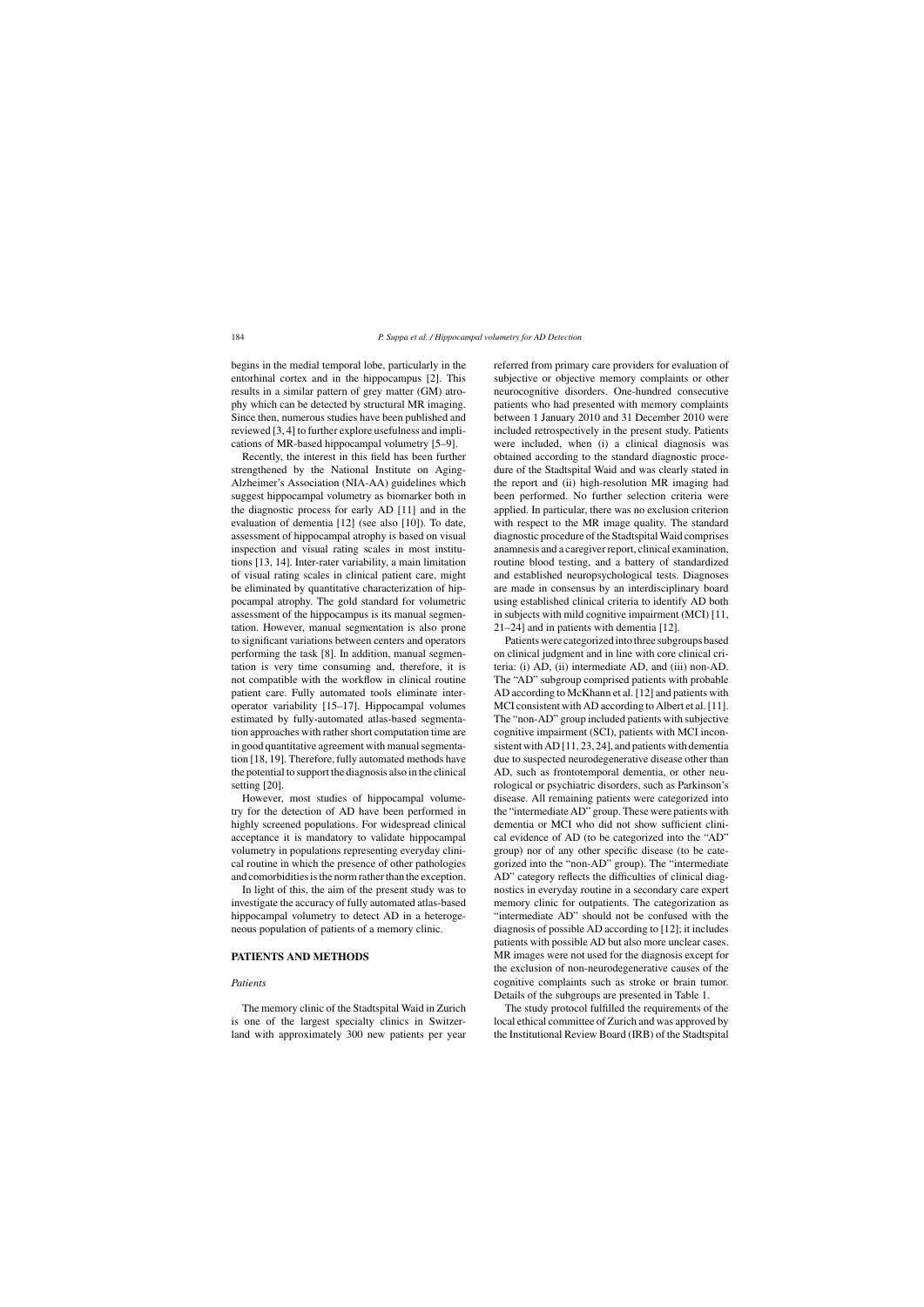begins in the medial temporal lobe, particularly in the entorhinal cortex and in the hippocampus [2]. This results in a similar pattern of grey matter (GM) atrophy which can be detected by structural MR imaging. Since then, numerous studies have been published and reviewed [3, 4] to further explore usefulness and implications of MR-based hippocampal volumetry [5–9].

Recently, the interest in this field has been further strengthened by the National Institute on Aging-Alzheimer's Association (NIA-AA) guidelines which suggest hippocampal volumetry as biomarker both in the diagnostic process for early AD [11] and in the evaluation of dementia [12] (see also [10]). To date, assessment of hippocampal atrophy is based on visual inspection and visual rating scales in most institutions [13, 14]. Inter-rater variability, a main limitation of visual rating scales in clinical patient care, might be eliminated by quantitative characterization of hippocampal atrophy. The gold standard for volumetric assessment of the hippocampus is its manual segmentation. However, manual segmentation is also prone to significant variations between centers and operators performing the task [8]. In addition, manual segmentation is very time consuming and, therefore, it is not compatible with the workflow in clinical routine patient care. Fully automated tools eliminate interoperator variability [15–17]. Hippocampal volumes estimated by fully-automated atlas-based segmentation approaches with rather short computation time are in good quantitative agreement with manual segmentation [18, 19]. Therefore, fully automated methods have the potential to support the diagnosis also in the clinical setting [20].

However, most studies of hippocampal volumetry for the detection of AD have been performed in highly screened populations. For widespread clinical acceptance it is mandatory to validate hippocampal volumetry in populations representing everyday clinical routine in which the presence of other pathologies and comorbidities is the norm rather than the exception.

In light of this, the aim of the present study was to investigate the accuracy of fully automated atlas-based hippocampal volumetry to detect AD in a heterogeneous population of patients of a memory clinic.

# **PATIENTS AND METHODS**

#### *Patients*

The memory clinic of the Stadtspital Waid in Zurich is one of the largest specialty clinics in Switzerland with approximately 300 new patients per year referred from primary care providers for evaluation of subjective or objective memory complaints or other neurocognitive disorders. One-hundred consecutive patients who had presented with memory complaints between 1 January 2010 and 31 December 2010 were included retrospectively in the present study. Patients were included, when (i) a clinical diagnosis was obtained according to the standard diagnostic procedure of the Stadtspital Waid and was clearly stated in the report and (ii) high-resolution MR imaging had been performed. No further selection criteria were applied. In particular, there was no exclusion criterion with respect to the MR image quality. The standard diagnostic procedure of the Stadtspital Waid comprises anamnesis and a caregiver report, clinical examination, routine blood testing, and a battery of standardized and established neuropsychological tests. Diagnoses are made in consensus by an interdisciplinary board using established clinical criteria to identify AD both in subjects with mild cognitive impairment (MCI) [11, 21–24] and in patients with dementia [12].

Patients were categorized into three subgroups based on clinical judgment and in line with core clinical criteria: (i) AD, (ii) intermediate AD, and (iii) non-AD. The "AD" subgroup comprised patients with probable AD according to McKhann et al. [12] and patients with MCI consistent with AD according to Albert et al. [11]. The "non-AD" group included patients with subjective cognitive impairment (SCI), patients with MCI inconsistent with AD [11, 23, 24], and patients with dementia due to suspected neurodegenerative disease other than AD, such as frontotemporal dementia, or other neurological or psychiatric disorders, such as Parkinson's disease. All remaining patients were categorized into the "intermediate AD" group. These were patients with dementia or MCI who did not show sufficient clinical evidence of AD (to be categorized into the "AD" group) nor of any other specific disease (to be categorized into the "non-AD" group). The "intermediate AD" category reflects the difficulties of clinical diagnostics in everyday routine in a secondary care expert memory clinic for outpatients. The categorization as "intermediate AD" should not be confused with the diagnosis of possible AD according to [12]; it includes patients with possible AD but also more unclear cases. MR images were not used for the diagnosis except for the exclusion of non-neurodegenerative causes of the cognitive complaints such as stroke or brain tumor. Details of the subgroups are presented in Table 1.

The study protocol fulfilled the requirements of the local ethical committee of Zurich and was approved by the Institutional Review Board (IRB) of the Stadtspital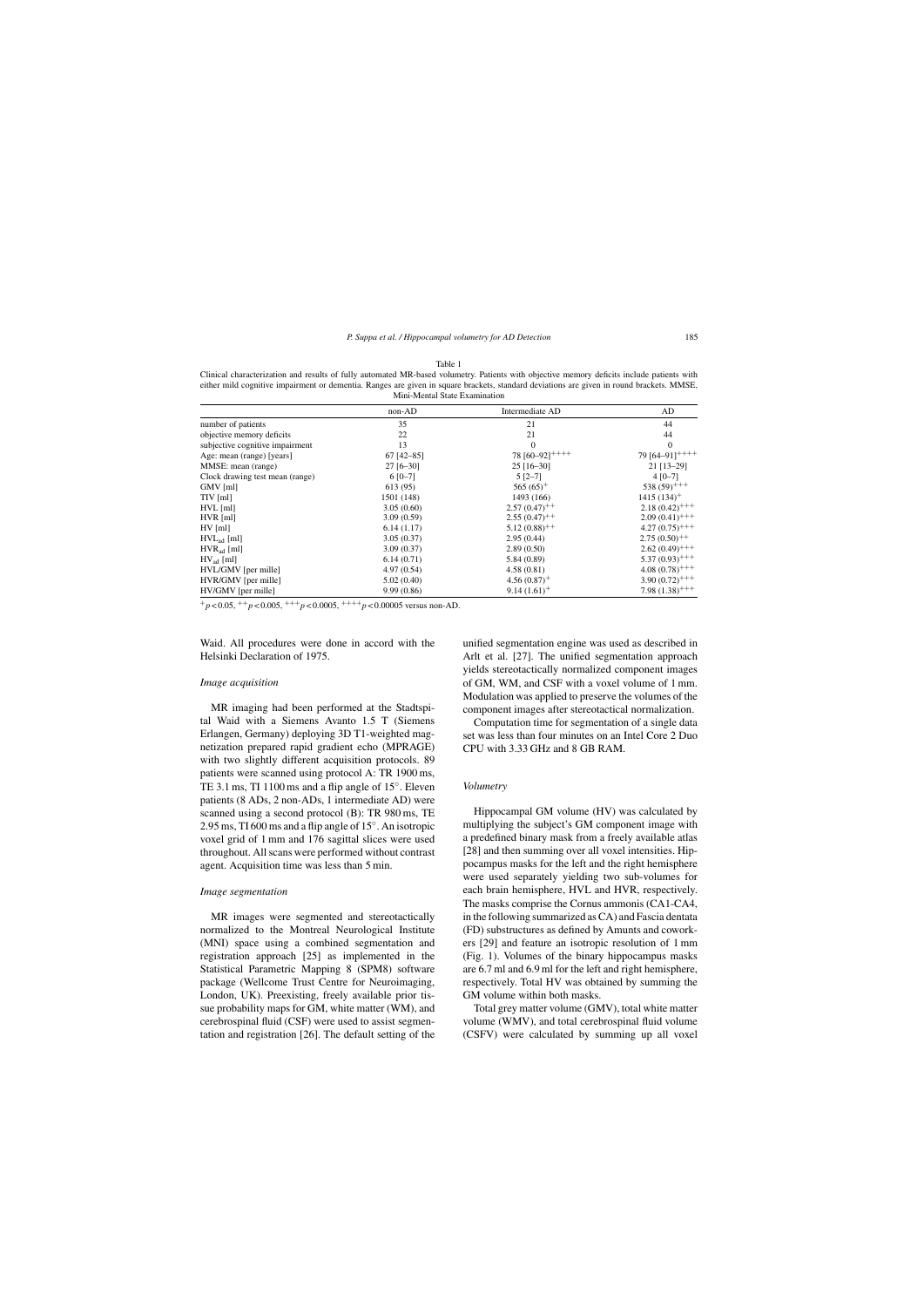| either mild cognitive impairment or dementia. Ranges are given in square brackets, standard deviations are given in round brackets. MMSE,<br>Mini-Mental State Examination |              |                            |                              |  |  |
|----------------------------------------------------------------------------------------------------------------------------------------------------------------------------|--------------|----------------------------|------------------------------|--|--|
|                                                                                                                                                                            | non-AD       | Intermediate AD            | AD                           |  |  |
| number of patients                                                                                                                                                         | 35           | 21                         | 44                           |  |  |
| objective memory deficits                                                                                                                                                  | 22           | 21                         | 44                           |  |  |
| subjective cognitive impairment                                                                                                                                            | 13           | $\Omega$                   | $\Omega$                     |  |  |
| Age: mean (range) [years]                                                                                                                                                  | $67$ [42-85] | 78 $[60-92]^{++++}$        | 79 [64-91] <sup>+++++</sup>  |  |  |
| MMSE: mean (range)                                                                                                                                                         | $27$ [6-30]  | $25$ [16-30]               | 21 [13-29]                   |  |  |
| Clock drawing test mean (range)                                                                                                                                            | $6 [0 - 7]$  | $5 [2 - 7]$                | $4 [0 - 7]$                  |  |  |
| $GMV$ [ml]                                                                                                                                                                 | 613 (95)     | $565(65)^+$                | $538(59)$ <sup>++++</sup>    |  |  |
| $TIV$ [ml]                                                                                                                                                                 | 1501 (148)   | 1493 (166)                 | $1415(134)$ <sup>+</sup>     |  |  |
| $HVL$ [ml]                                                                                                                                                                 | 3.05(0.60)   | $2.57(0.47)^{++}$          | $2.18(0.42)^{+++}$           |  |  |
| $HVR$ [ml]                                                                                                                                                                 | 3.09(0.59)   | $2.55(0.47)^{++}$          | $2.09(0.41)$ <sup>+++</sup>  |  |  |
| $HV$ [ml]                                                                                                                                                                  | 6.14(1.17)   | $5.12(0.88)$ <sup>++</sup> | $4.27(0.75)^{+++}$           |  |  |
| $HVLad$ [ml]                                                                                                                                                               | 3.05(0.37)   | 2.95(0.44)                 | $2.75(0.50)^{++}$            |  |  |
| $HVRad$ [ml]                                                                                                                                                               | 3.09(0.37)   | 2.89(0.50)                 | $2.62(0.49)$ <sup>+++</sup>  |  |  |
| $HV_{ad}$ [ml]                                                                                                                                                             | 6.14(0.71)   | 5.84(0.89)                 | $5.37(0.93)^{+++}$           |  |  |
| HVL/GMV [per mille]                                                                                                                                                        | 4.97(0.54)   | 4.58(0.81)                 | $4.08(0.78)$ <sup>+++</sup>  |  |  |
| HVR/GMV [per mille]                                                                                                                                                        | 5.02(0.40)   | $4.56(0.87)$ <sup>+</sup>  | $3.90(0.72)^{+++}$           |  |  |
| HV/GMV [per mille]                                                                                                                                                         | 9.99(0.86)   | $9.14(1.61)^+$             | 7.98 $(1.38)$ <sup>+++</sup> |  |  |

Table 1 Clinical characterization and results of fully automated MR-based volumetry. Patients with objective memory deficits include patients with

 $+p < 0.05$ ,  $+p < 0.005$ ,  $+++p < 0.0005$ ,  $++++p < 0.00005$  versus non-AD.

Waid. All procedures were done in accord with the Helsinki Declaration of 1975.

#### *Image acquisition*

MR imaging had been performed at the Stadtspital Waid with a Siemens Avanto 1.5 T (Siemens Erlangen, Germany) deploying 3D T1-weighted magnetization prepared rapid gradient echo (MPRAGE) with two slightly different acquisition protocols. 89 patients were scanned using protocol A: TR 1900 ms, TE 3.1 ms, TI 1100 ms and a flip angle of 15◦. Eleven patients (8 ADs, 2 non-ADs, 1 intermediate AD) were scanned using a second protocol (B): TR 980 ms, TE 2.95 ms, TI 600 ms and a flip angle of 15◦. An isotropic voxel grid of 1 mm and 176 sagittal slices were used throughout. All scans were performed without contrast agent. Acquisition time was less than 5 min.

#### *Image segmentation*

MR images were segmented and stereotactically normalized to the Montreal Neurological Institute (MNI) space using a combined segmentation and registration approach [25] as implemented in the Statistical Parametric Mapping 8 (SPM8) software package (Wellcome Trust Centre for Neuroimaging, London, UK). Preexisting, freely available prior tissue probability maps for GM, white matter (WM), and cerebrospinal fluid (CSF) were used to assist segmentation and registration [26]. The default setting of the unified segmentation engine was used as described in Arlt et al. [27]. The unified segmentation approach yields stereotactically normalized component images of GM, WM, and CSF with a voxel volume of 1 mm. Modulation was applied to preserve the volumes of the component images after stereotactical normalization.

Computation time for segmentation of a single data set was less than four minutes on an Intel Core 2 Duo CPU with 3.33 GHz and 8 GB RAM.

#### *Volumetry*

Hippocampal GM volume (HV) was calculated by multiplying the subject's GM component image with a predefined binary mask from a freely available atlas [28] and then summing over all voxel intensities. Hippocampus masks for the left and the right hemisphere were used separately yielding two sub-volumes for each brain hemisphere, HVL and HVR, respectively. The masks comprise the Cornus ammonis (CA1-CA4, in the following summarized as CA) and Fascia dentata (FD) substructures as defined by Amunts and coworkers [29] and feature an isotropic resolution of 1 mm (Fig. 1). Volumes of the binary hippocampus masks are 6.7 ml and 6.9 ml for the left and right hemisphere, respectively. Total HV was obtained by summing the GM volume within both masks.

Total grey matter volume (GMV), total white matter volume (WMV), and total cerebrospinal fluid volume (CSFV) were calculated by summing up all voxel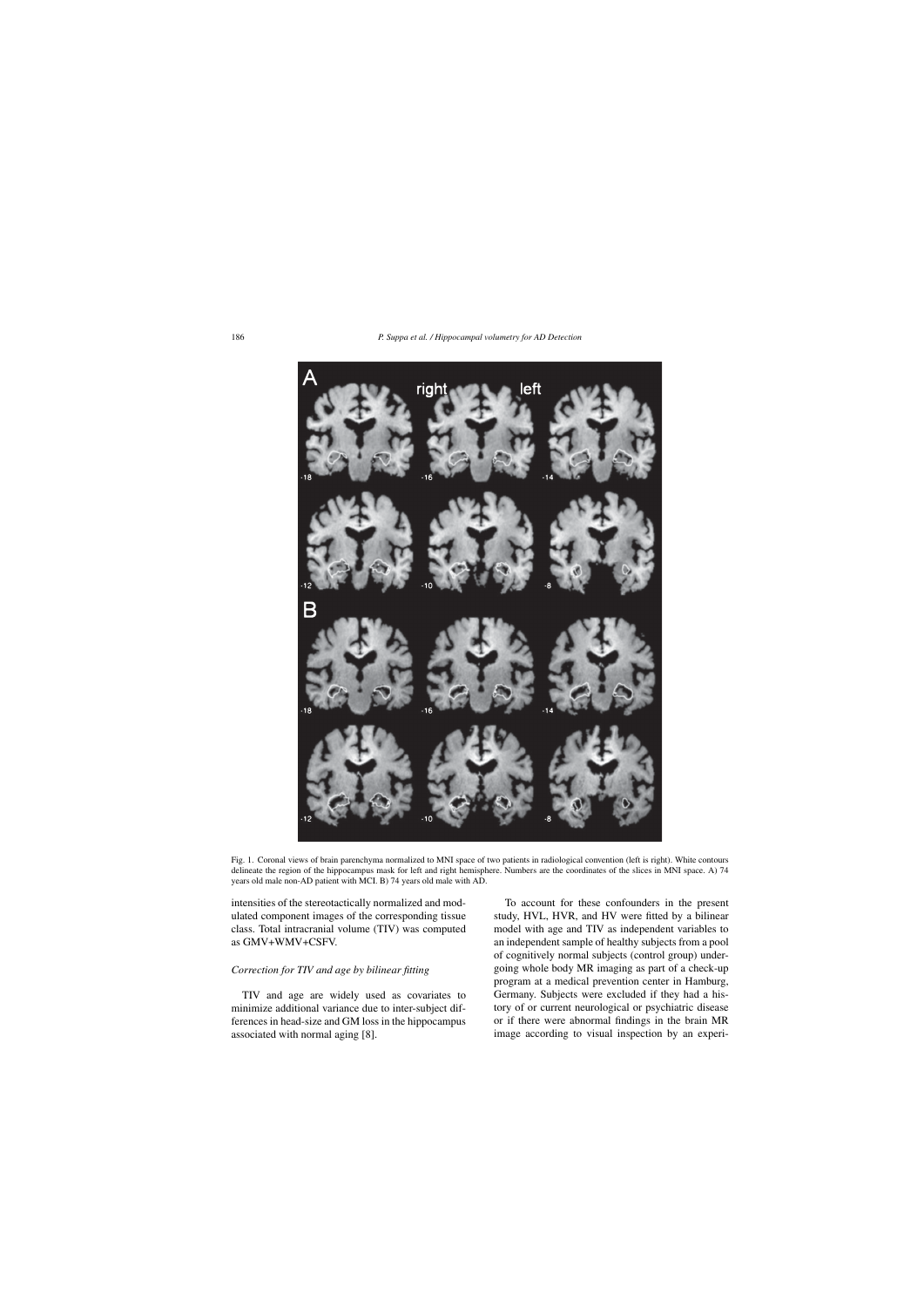

Fig. 1. Coronal views of brain parenchyma normalized to MNI space of two patients in radiological convention (left is right). White contours delineate the region of the hippocampus mask for left and right hemisphere. Numbers are the coordinates of the slices in MNI space. A) 74 years old male non-AD patient with MCI. B) 74 years old male with AD.

intensities of the stereotactically normalized and modulated component images of the corresponding tissue class. Total intracranial volume (TIV) was computed as GMV+WMV+CSFV.

## *Correction for TIV and age by bilinear fitting*

TIV and age are widely used as covariates to minimize additional variance due to inter-subject differences in head-size and GM loss in the hippocampus associated with normal aging [8].

To account for these confounders in the present study, HVL, HVR, and HV were fitted by a bilinear model with age and TIV as independent variables to an independent sample of healthy subjects from a pool of cognitively normal subjects (control group) undergoing whole body MR imaging as part of a check-up program at a medical prevention center in Hamburg, Germany. Subjects were excluded if they had a history of or current neurological or psychiatric disease or if there were abnormal findings in the brain MR image according to visual inspection by an experi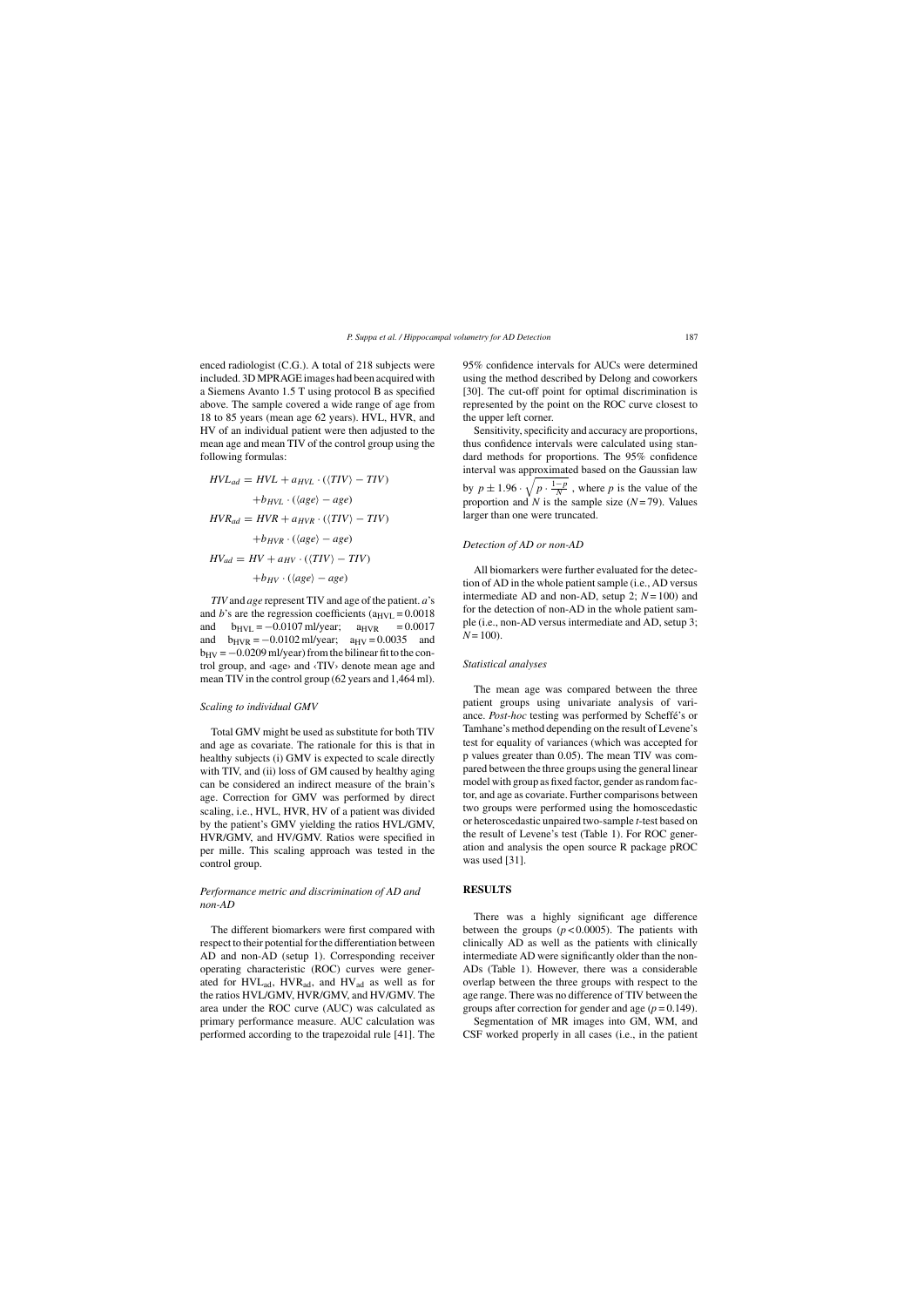enced radiologist (C.G.). A total of 218 subjects were included. 3D MPRAGE images had been acquired with a Siemens Avanto 1.5 T using protocol B as specified above. The sample covered a wide range of age from 18 to 85 years (mean age 62 years). HVL, HVR, and HV of an individual patient were then adjusted to the mean age and mean TIV of the control group using the following formulas:

$$
HVL_{ad} = HVL + a_{HVL} \cdot (\langle TIV \rangle - TIV)
$$

$$
+ b_{HVL} \cdot (\langle age \rangle - age)
$$

$$
HVR_{ad} = HVR + a_{HVR} \cdot (\langle TIV \rangle - TIV)
$$

$$
+ b_{HVR} \cdot (\langle age \rangle - age)
$$

$$
HV_{ad} = HV + a_{HV} \cdot (\langle TIV \rangle - TIV)
$$

$$
+ b_{HV} \cdot (\langle age \rangle - age)
$$

*TIV* and *age* represent TIV and age of the patient. *a*'s and *b*'s are the regression coefficients ( $a_{HVL} = 0.0018$ ) and  $b_{\text{HVI}} = -0.0107 \text{ mJ/year}$ ;  $a_{\text{HVR}} = 0.0017$ and  $b_{HVR} = -0.0102 \text{ ml/year}$ ;  $a_{HV} = 0.0035$  and  $b_{\rm HV} = -0.0209$  ml/year) from the bilinear fit to the control group, and ‹age› and ‹TIV› denote mean age and mean TIV in the control group (62 years and 1,464 ml).

#### *Scaling to individual GMV*

Total GMV might be used as substitute for both TIV and age as covariate. The rationale for this is that in healthy subjects (i) GMV is expected to scale directly with TIV, and (ii) loss of GM caused by healthy aging can be considered an indirect measure of the brain's age. Correction for GMV was performed by direct scaling, i.e., HVL, HVR, HV of a patient was divided by the patient's GMV yielding the ratios HVL/GMV, HVR/GMV, and HV/GMV. Ratios were specified in per mille. This scaling approach was tested in the control group.

# *Performance metric and discrimination of AD and non-AD*

The different biomarkers were first compared with respect to their potential for the differentiation between AD and non-AD (setup 1). Corresponding receiver operating characteristic (ROC) curves were generated for HVLad, HVRad, and HVad as well as for the ratios HVL/GMV, HVR/GMV, and HV/GMV. The area under the ROC curve (AUC) was calculated as primary performance measure. AUC calculation was performed according to the trapezoidal rule [41]. The 95% confidence intervals for AUCs were determined using the method described by Delong and coworkers [30]. The cut-off point for optimal discrimination is represented by the point on the ROC curve closest to the upper left corner.

Sensitivity, specificity and accuracy are proportions, thus confidence intervals were calculated using standard methods for proportions. The 95% confidence interval was approximated based on the Gaussian law by  $p \pm 1.96 \cdot \sqrt{p \cdot \frac{1-p}{N}}$ , where p is the value of the proportion and *N* is the sample size  $(N=79)$ . Values larger than one were truncated.

#### *Detection of AD or non-AD*

All biomarkers were further evaluated for the detection of AD in the whole patient sample (i.e., AD versus intermediate AD and non-AD, setup 2;  $N = 100$ ) and for the detection of non-AD in the whole patient sample (i.e., non-AD versus intermediate and AD, setup 3;  $N = 100$ ).

#### *Statistical analyses*

The mean age was compared between the three patient groups using univariate analysis of variance. *Post-hoc* testing was performed by Scheffé's or Tamhane's method depending on the result of Levene's test for equality of variances (which was accepted for p values greater than 0.05). The mean TIV was compared between the three groups using the general linear model with group as fixed factor, gender as random factor, and age as covariate. Further comparisons between two groups were performed using the homoscedastic or heteroscedastic unpaired two-sample *t*-test based on the result of Levene's test (Table 1). For ROC generation and analysis the open source R package pROC was used [31].

## **RESULTS**

There was a highly significant age difference between the groups  $(p < 0.0005)$ . The patients with clinically AD as well as the patients with clinically intermediate AD were significantly older than the non-ADs (Table 1). However, there was a considerable overlap between the three groups with respect to the age range. There was no difference of TIV between the groups after correction for gender and age  $(p = 0.149)$ .

Segmentation of MR images into GM, WM, and CSF worked properly in all cases (i.e., in the patient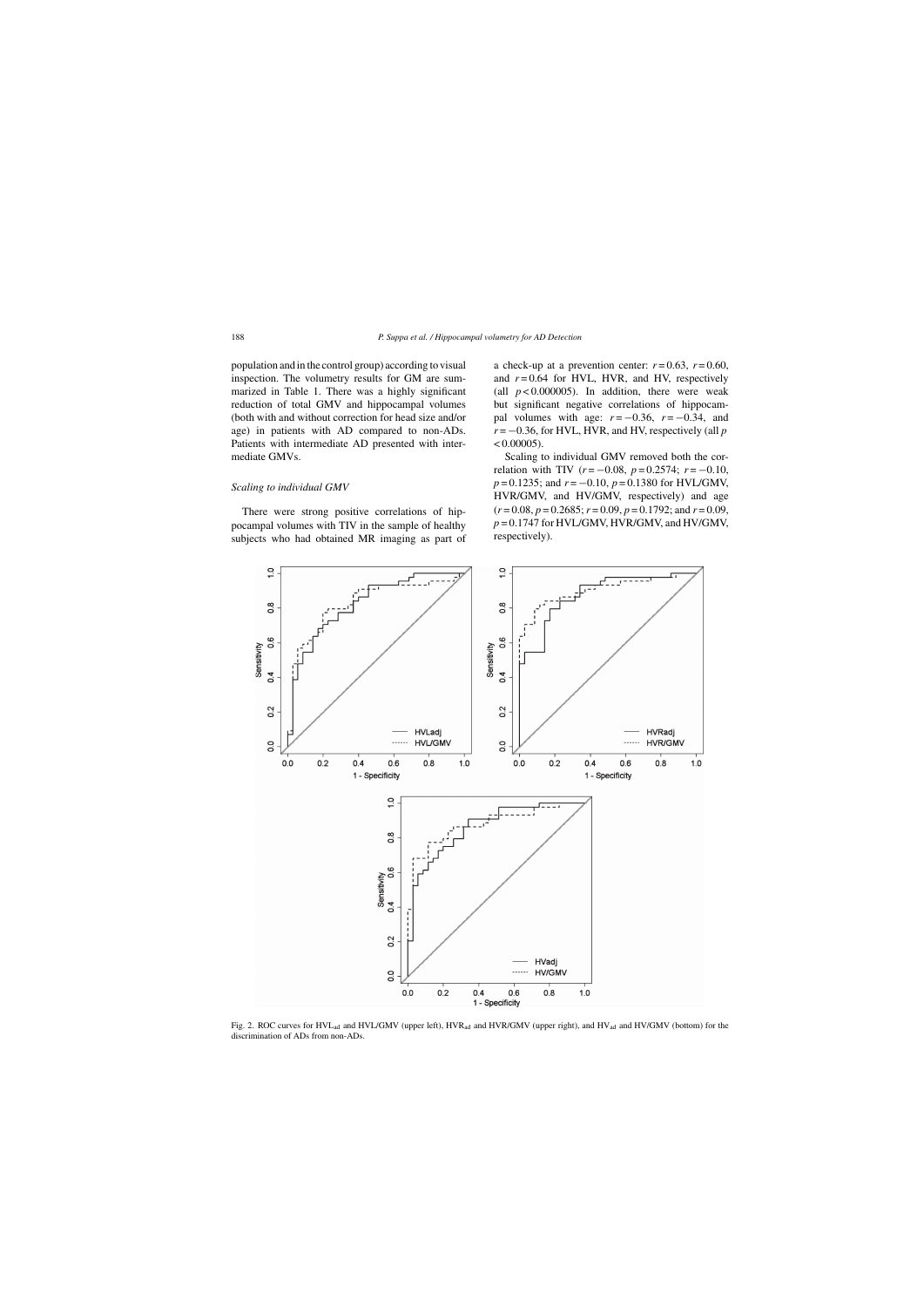population and in the control group) according to visual inspection. The volumetry results for GM are summarized in Table 1. There was a highly significant reduction of total GMV and hippocampal volumes (both with and without correction for head size and/or age) in patients with AD compared to non-ADs. Patients with intermediate AD presented with intermediate GMVs.

#### *Scaling to individual GMV*

There were strong positive correlations of hippocampal volumes with TIV in the sample of healthy subjects who had obtained MR imaging as part of a check-up at a prevention center:  $r = 0.63$ ,  $r = 0.60$ , and  $r = 0.64$  for HVL, HVR, and HV, respectively (all  $p < 0.000005$ ). In addition, there were weak but significant negative correlations of hippocampal volumes with age:  $r = -0.36$ ,  $r = -0.34$ , and  $r = -0.36$ , for HVL, HVR, and HV, respectively (all  $p$  $< 0.00005$ ).

Scaling to individual GMV removed both the correlation with TIV ( $r = -0.08$ ,  $p = 0.2574$ ;  $r = -0.10$ , *p* = 0.1235; and *r* = −0.10, *p* = 0.1380 for HVL/GMV, HVR/GMV, and HV/GMV, respectively) and age  $(r=0.08, p=0.2685; r=0.09, p=0.1792;$  and  $r=0.09$ , *p* = 0.1747 for HVL/GMV, HVR/GMV, and HV/GMV, respectively).



Fig. 2. ROC curves for HVL<sub>ad</sub> and HVL/GMV (upper left), HVR<sub>ad</sub> and HVR/GMV (upper right), and HV<sub>ad</sub> and HV/GMV (bottom) for the discrimination of ADs from non-ADs.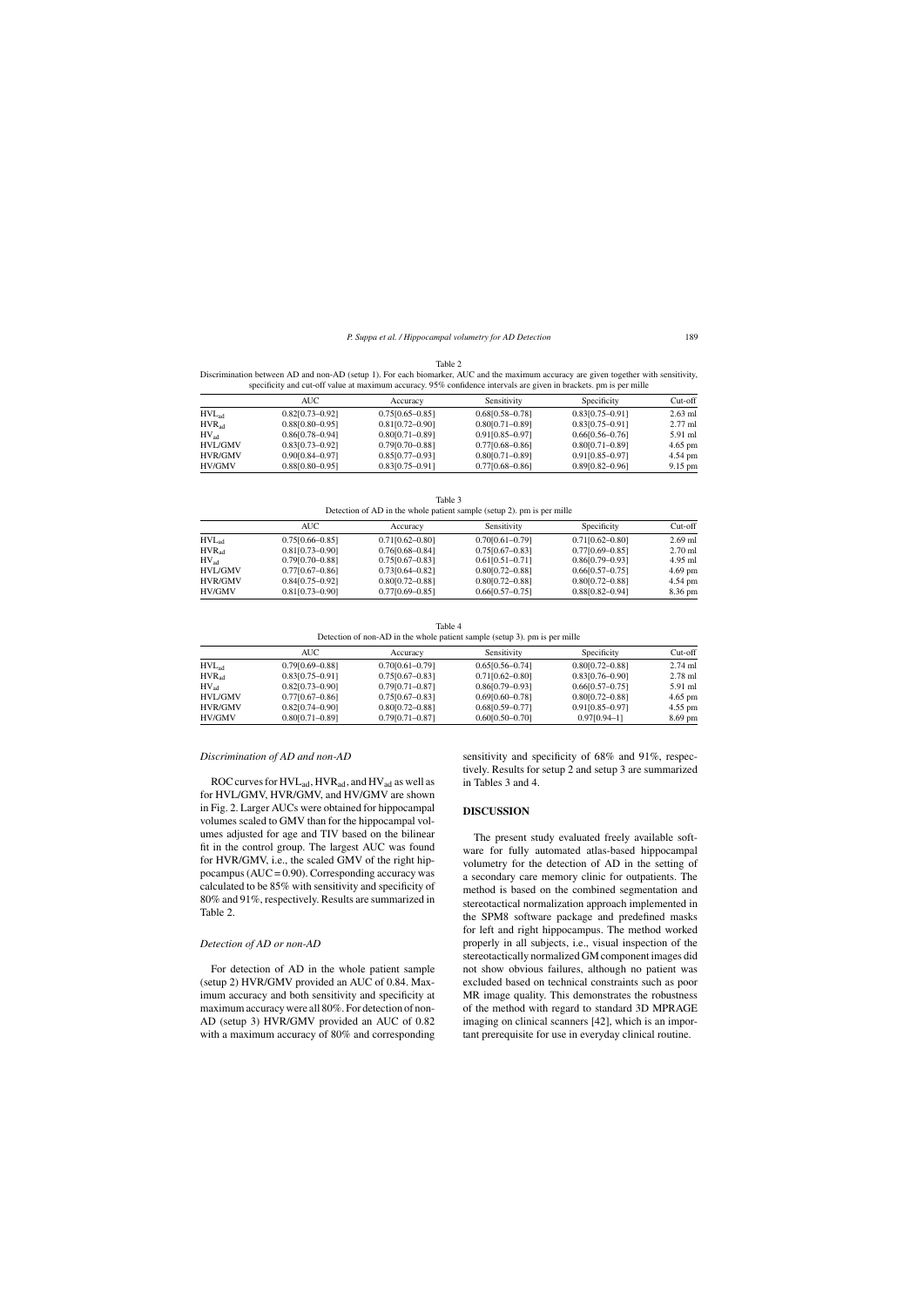| ×<br>۹<br>۹ |  |
|-------------|--|
|-------------|--|

Discrimination between AD and non-AD (setup 1). For each biomarker, AUC and the maximum accuracy are given together with sensitivity, specificity and cut-off value at maximum accuracy. 95% confidence intervals are given in brackets. pm is per mille

|                   | AUC                 | Accuracy            | Sensitivity         | Specificity         | $Cut-off$         |
|-------------------|---------------------|---------------------|---------------------|---------------------|-------------------|
| HVL <sub>ad</sub> | $0.82[0.73 - 0.92]$ | $0.75[0.65 - 0.85]$ | $0.68[0.58 - 0.78]$ | $0.83[0.75-0.91]$   | $2.63$ ml         |
| HVR <sub>ad</sub> | $0.88[0.80 - 0.95]$ | $0.81[0.72 - 0.90]$ | $0.80[0.71 - 0.89]$ | $0.83[0.75 - 0.91]$ | $2.77$ ml         |
| $HV_{ad}$         | $0.86[0.78 - 0.94]$ | $0.80[0.71 - 0.89]$ | $0.91[0.85 - 0.97]$ | $0.66[0.56 - 0.76]$ | 5.91 ml           |
| <b>HVL/GMV</b>    | $0.83[0.73-0.92]$   | $0.79$ [0.70-0.88]  | $0.77[0.68 - 0.86]$ | $0.80[0.71 - 0.89]$ | $4.65$ pm         |
| <b>HVR/GMV</b>    | $0.90[0.84 - 0.97]$ | $0.85[0.77-0.93]$   | $0.80[0.71 - 0.89]$ | $0.91[0.85 - 0.97]$ | 4.54 pm           |
| <b>HV/GMV</b>     | $0.88[0.80 - 0.95]$ | $0.83[0.75-0.91]$   | $0.77[0.68 - 0.86]$ | $0.89[0.82 - 0.96]$ | $9.15 \text{ pm}$ |

Table 3 Detection of AD in the whole patient sample (setup 2). pm is per mille

|                   | AUC                 | Accuracy            | Sensitivity         | Specificity         | $Cut-off$ |
|-------------------|---------------------|---------------------|---------------------|---------------------|-----------|
| HVL <sub>ad</sub> | $0.75[0.66 - 0.85]$ | $0.71[0.62 - 0.80]$ | $0.70[0.61 - 0.79]$ | $0.71[0.62 - 0.80]$ | $2.69$ ml |
| HVR <sub>ad</sub> | $0.81[0.73 - 0.90]$ | $0.76[0.68 - 0.84]$ | $0.75[0.67-0.83]$   | $0.77[0.69 - 0.85]$ | $2.70$ ml |
| $HV_{ad}$         | $0.79[0.70 - 0.88]$ | $0.75[0.67-0.83]$   | $0.61[0.51-0.71]$   | $0.86[0.79 - 0.93]$ | 4.95 ml   |
| <b>HVL/GMV</b>    | $0.77[0.67-0.86]$   | $0.73[0.64 - 0.82]$ | $0.80[0.72 - 0.88]$ | $0.66[0.57-0.75]$   | $4.69$ pm |
| <b>HVR/GMV</b>    | $0.84[0.75-0.92]$   | $0.80[0.72 - 0.88]$ | $0.80[0.72 - 0.88]$ | $0.80[0.72 - 0.88]$ | 4.54 pm   |
| HV/GMV            | $0.81[0.73 - 0.90]$ | $0.77[0.69 - 0.85]$ | $0.66[0.57-0.75]$   | $0.88[0.82 - 0.94]$ | 8.36 pm   |

Table 4 Detection of non-AD in the whole patient sample (setup 3). pm is per mille

|                   | AUC                 | Accuracv            | Sensitivity         | Specificity         | $Cut-off$ |  |
|-------------------|---------------------|---------------------|---------------------|---------------------|-----------|--|
| HVL <sub>ad</sub> | $0.79$ [0.69-0.88]  | $0.70[0.61 - 0.79]$ | $0.65[0.56 - 0.74]$ | $0.80[0.72 - 0.88]$ | $2.74$ ml |  |
| $HVR_{ad}$        | $0.83[0.75-0.91]$   | $0.75[0.67-0.83]$   | $0.71[0.62 - 0.80]$ | $0.83[0.76 - 0.90]$ | $2.78$ ml |  |
| $HV_{ad}$         | $0.82[0.73 - 0.90]$ | $0.79[0.71 - 0.87]$ | $0.86[0.79 - 0.93]$ | $0.66[0.57-0.75]$   | 5.91 ml   |  |
| <b>HVL/GMV</b>    | $0.77[0.67-0.86]$   | $0.75[0.67-0.83]$   | $0.69[0.60 - 0.78]$ | $0.80[0.72 - 0.88]$ | $4.65$ pm |  |
| <b>HVR/GMV</b>    | $0.82[0.74 - 0.90]$ | $0.80[0.72 - 0.88]$ | $0.68[0.59 - 0.77]$ | $0.91[0.85 - 0.97]$ | $4.55$ pm |  |
| HV/GMV            | $0.80[0.71 - 0.89]$ | $0.79[0.71 - 0.87]$ | $0.60[0.50 - 0.70]$ | $0.97[0.94 - 1]$    | $8.69$ pm |  |

# *Discrimination of AD and non-AD*

ROC curves for  $HVL_{ad}$ ,  $HVR_{ad}$ , and  $HV_{ad}$  as well as for HVL/GMV, HVR/GMV, and HV/GMV are shown in Fig. 2. Larger AUCs were obtained for hippocampal volumes scaled to GMV than for the hippocampal volumes adjusted for age and TIV based on the bilinear fit in the control group. The largest AUC was found for HVR/GMV, i.e., the scaled GMV of the right hippocampus ( $AUC = 0.90$ ). Corresponding accuracy was calculated to be 85% with sensitivity and specificity of 80% and 91%, respectively. Results are summarized in Table 2.

#### *Detection of AD or non-AD*

For detection of AD in the whole patient sample (setup 2) HVR/GMV provided an AUC of 0.84. Maximum accuracy and both sensitivity and specificity at maximum accuracy were all 80%. For detection of non-AD (setup 3) HVR/GMV provided an AUC of 0.82 with a maximum accuracy of 80% and corresponding sensitivity and specificity of 68% and 91%, respectively. Results for setup 2 and setup 3 are summarized in Tables 3 and 4.

## **DISCUSSION**

The present study evaluated freely available software for fully automated atlas-based hippocampal volumetry for the detection of AD in the setting of a secondary care memory clinic for outpatients. The method is based on the combined segmentation and stereotactical normalization approach implemented in the SPM8 software package and predefined masks for left and right hippocampus. The method worked properly in all subjects, i.e., visual inspection of the stereotactically normalized GM component images did not show obvious failures, although no patient was excluded based on technical constraints such as poor MR image quality. This demonstrates the robustness of the method with regard to standard 3D MPRAGE imaging on clinical scanners [42], which is an important prerequisite for use in everyday clinical routine.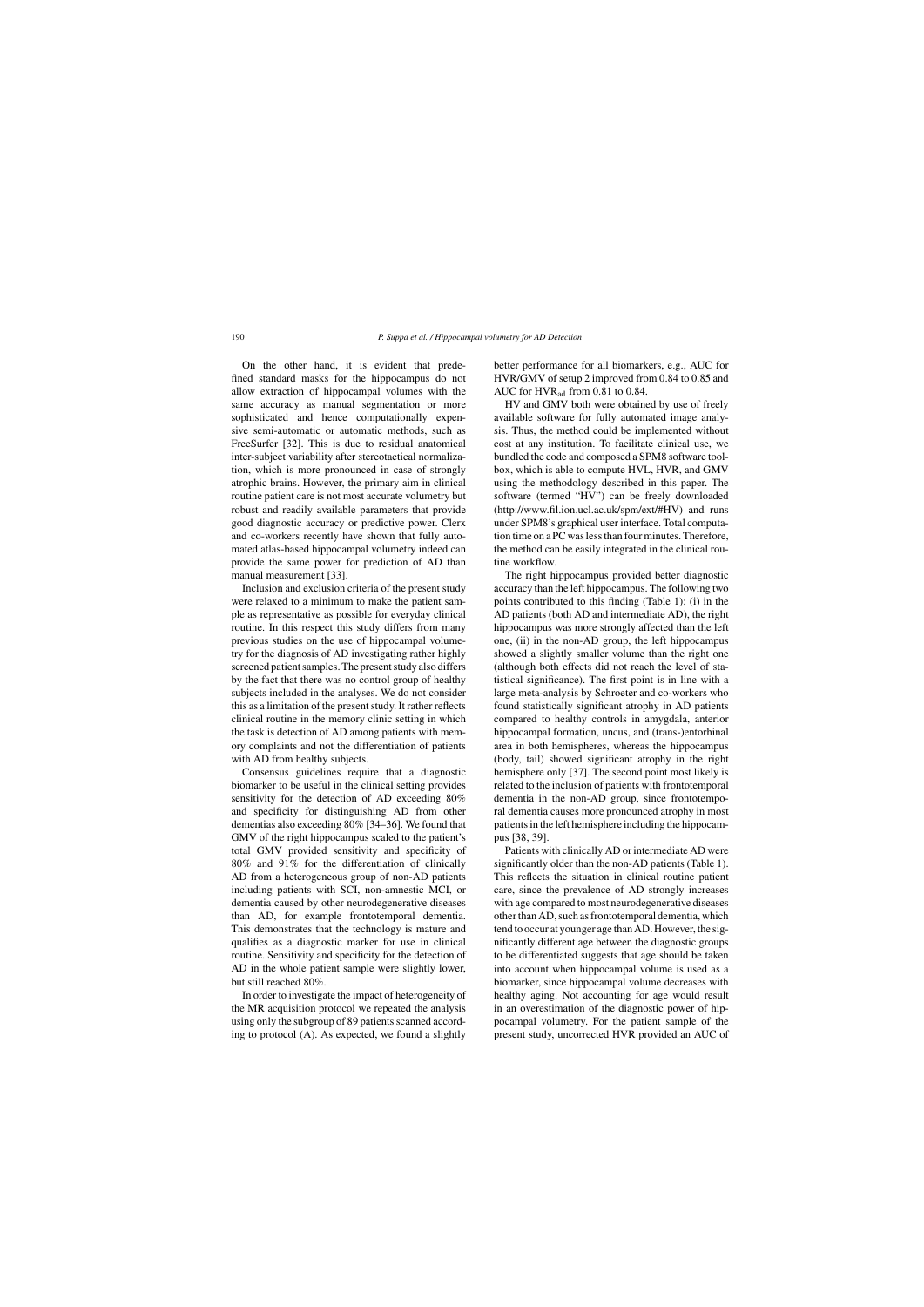On the other hand, it is evident that predefined standard masks for the hippocampus do not allow extraction of hippocampal volumes with the same accuracy as manual segmentation or more sophisticated and hence computationally expensive semi-automatic or automatic methods, such as FreeSurfer [32]. This is due to residual anatomical inter-subject variability after stereotactical normalization, which is more pronounced in case of strongly atrophic brains. However, the primary aim in clinical routine patient care is not most accurate volumetry but robust and readily available parameters that provide good diagnostic accuracy or predictive power. Clerx and co-workers recently have shown that fully automated atlas-based hippocampal volumetry indeed can provide the same power for prediction of AD than manual measurement [33].

Inclusion and exclusion criteria of the present study were relaxed to a minimum to make the patient sample as representative as possible for everyday clinical routine. In this respect this study differs from many previous studies on the use of hippocampal volumetry for the diagnosis of AD investigating rather highly screened patient samples. The present study also differs by the fact that there was no control group of healthy subjects included in the analyses. We do not consider this as a limitation of the present study. It rather reflects clinical routine in the memory clinic setting in which the task is detection of AD among patients with memory complaints and not the differentiation of patients with AD from healthy subjects.

Consensus guidelines require that a diagnostic biomarker to be useful in the clinical setting provides sensitivity for the detection of AD exceeding 80% and specificity for distinguishing AD from other dementias also exceeding 80% [34–36]. We found that GMV of the right hippocampus scaled to the patient's total GMV provided sensitivity and specificity of 80% and 91% for the differentiation of clinically AD from a heterogeneous group of non-AD patients including patients with SCI, non-amnestic MCI, or dementia caused by other neurodegenerative diseases than AD, for example frontotemporal dementia. This demonstrates that the technology is mature and qualifies as a diagnostic marker for use in clinical routine. Sensitivity and specificity for the detection of AD in the whole patient sample were slightly lower, but still reached 80%.

In order to investigate the impact of heterogeneity of the MR acquisition protocol we repeated the analysis using only the subgroup of 89 patients scanned according to protocol (A). As expected, we found a slightly better performance for all biomarkers, e.g., AUC for HVR/GMV of setup 2 improved from 0.84 to 0.85 and AUC for  $HVR<sub>ad</sub>$  from 0.81 to 0.84.

HV and GMV both were obtained by use of freely available software for fully automated image analysis. Thus, the method could be implemented without cost at any institution. To facilitate clinical use, we bundled the code and composed a SPM8 software toolbox, which is able to compute HVL, HVR, and GMV using the methodology described in this paper. The software (termed "HV") can be freely downloaded (<http://www.fil.ion.ucl.ac.uk/spm/ext/#HV>) and runs under SPM8's graphical user interface. Total computation time on a PC was less than four minutes. Therefore, the method can be easily integrated in the clinical routine workflow.

The right hippocampus provided better diagnostic accuracy than the left hippocampus. The following two points contributed to this finding (Table 1): (i) in the AD patients (both AD and intermediate AD), the right hippocampus was more strongly affected than the left one, (ii) in the non-AD group, the left hippocampus showed a slightly smaller volume than the right one (although both effects did not reach the level of statistical significance). The first point is in line with a large meta-analysis by Schroeter and co-workers who found statistically significant atrophy in AD patients compared to healthy controls in amygdala, anterior hippocampal formation, uncus, and (trans-)entorhinal area in both hemispheres, whereas the hippocampus (body, tail) showed significant atrophy in the right hemisphere only [37]. The second point most likely is related to the inclusion of patients with frontotemporal dementia in the non-AD group, since frontotemporal dementia causes more pronounced atrophy in most patients in the left hemisphere including the hippocampus [38, 39].

Patients with clinically AD or intermediate AD were significantly older than the non-AD patients (Table 1). This reflects the situation in clinical routine patient care, since the prevalence of AD strongly increases with age compared to most neurodegenerative diseases other than AD, such as frontotemporal dementia, which tend to occur at younger age than AD. However, the significantly different age between the diagnostic groups to be differentiated suggests that age should be taken into account when hippocampal volume is used as a biomarker, since hippocampal volume decreases with healthy aging. Not accounting for age would result in an overestimation of the diagnostic power of hippocampal volumetry. For the patient sample of the present study, uncorrected HVR provided an AUC of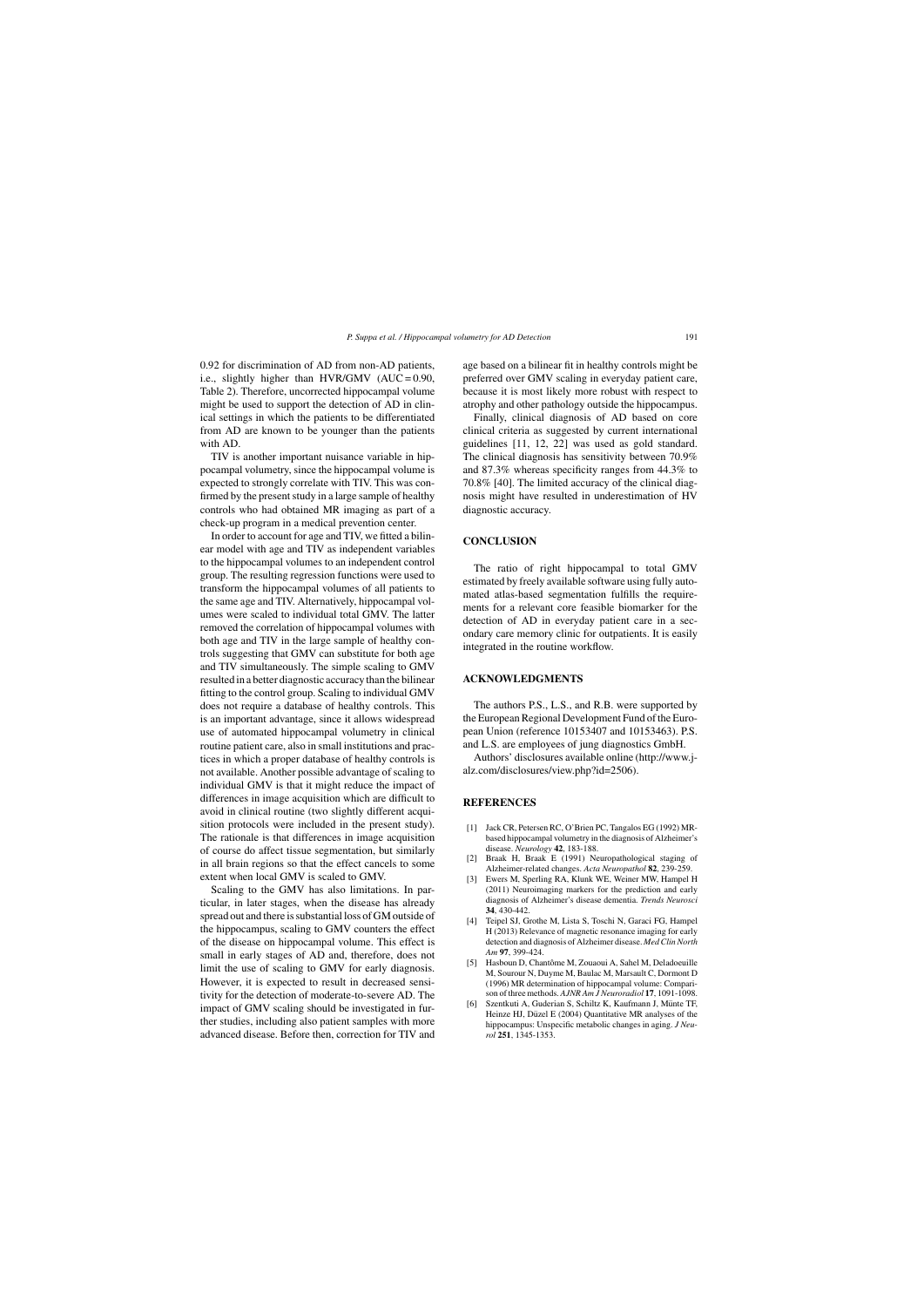0.92 for discrimination of AD from non-AD patients, i.e., slightly higher than HVR/GMV  $(AUC = 0.90,$ Table 2). Therefore, uncorrected hippocampal volume might be used to support the detection of AD in clinical settings in which the patients to be differentiated from AD are known to be younger than the patients with AD.

TIV is another important nuisance variable in hippocampal volumetry, since the hippocampal volume is expected to strongly correlate with TIV. This was confirmed by the present study in a large sample of healthy controls who had obtained MR imaging as part of a check-up program in a medical prevention center.

In order to account for age and TIV, we fitted a bilinear model with age and TIV as independent variables to the hippocampal volumes to an independent control group. The resulting regression functions were used to transform the hippocampal volumes of all patients to the same age and TIV. Alternatively, hippocampal volumes were scaled to individual total GMV. The latter removed the correlation of hippocampal volumes with both age and TIV in the large sample of healthy controls suggesting that GMV can substitute for both age and TIV simultaneously. The simple scaling to GMV resulted in a better diagnostic accuracy than the bilinear fitting to the control group. Scaling to individual GMV does not require a database of healthy controls. This is an important advantage, since it allows widespread use of automated hippocampal volumetry in clinical routine patient care, also in small institutions and practices in which a proper database of healthy controls is not available. Another possible advantage of scaling to individual GMV is that it might reduce the impact of differences in image acquisition which are difficult to avoid in clinical routine (two slightly different acquisition protocols were included in the present study). The rationale is that differences in image acquisition of course do affect tissue segmentation, but similarly in all brain regions so that the effect cancels to some extent when local GMV is scaled to GMV.

Scaling to the GMV has also limitations. In particular, in later stages, when the disease has already spread out and there is substantial loss of GM outside of the hippocampus, scaling to GMV counters the effect of the disease on hippocampal volume. This effect is small in early stages of AD and, therefore, does not limit the use of scaling to GMV for early diagnosis. However, it is expected to result in decreased sensitivity for the detection of moderate-to-severe AD. The impact of GMV scaling should be investigated in further studies, including also patient samples with more advanced disease. Before then, correction for TIV and

age based on a bilinear fit in healthy controls might be preferred over GMV scaling in everyday patient care, because it is most likely more robust with respect to atrophy and other pathology outside the hippocampus.

Finally, clinical diagnosis of AD based on core clinical criteria as suggested by current international guidelines [11, 12, 22] was used as gold standard. The clinical diagnosis has sensitivity between 70.9% and 87.3% whereas specificity ranges from 44.3% to 70.8% [40]. The limited accuracy of the clinical diagnosis might have resulted in underestimation of HV diagnostic accuracy.

# **CONCLUSION**

The ratio of right hippocampal to total GMV estimated by freely available software using fully automated atlas-based segmentation fulfills the requirements for a relevant core feasible biomarker for the detection of AD in everyday patient care in a secondary care memory clinic for outpatients. It is easily integrated in the routine workflow.

### **ACKNOWLEDGMENTS**

The authors P.S., L.S., and R.B. were supported by the European Regional Development Fund of the European Union (reference 10153407 and 10153463). P.S. and L.S. are employees of jung diagnostics GmbH.

Authors' disclosures available online ([http://www.j](http://www.j-alz.com/disclosures/view.php?id=2506)alz.com/disclosures/view.php?id=2506).

## **REFERENCES**

- [1] Jack CR, Petersen RC, O'Brien PC, Tangalos EG (1992) MRbased hippocampal volumetry in the diagnosis of Alzheimer's disease. *Neurology* **42**, 183-188.
- [2] Braak H, Braak E (1991) Neuropathological staging of Alzheimer-related changes. *Acta Neuropathol* **82**, 239-259.
- [3] Ewers M, Sperling RA, Klunk WE, Weiner MW, Hampel H (2011) Neuroimaging markers for the prediction and early diagnosis of Alzheimer's disease dementia. *Trends Neurosci* **34**, 430-442.
- [4] Teipel SJ, Grothe M, Lista S, Toschi N, Garaci FG, Hampel H (2013) Relevance of magnetic resonance imaging for early detection and diagnosis of Alzheimer disease. *Med Clin North Am* **97**, 399-424.
- [5] Hasboun D, Chantôme M, Zouaoui A, Sahel M, Deladoeuille M, Sourour N, Duyme M, Baulac M, Marsault C, Dormont D (1996) MR determination of hippocampal volume: Comparison of three methods. *AJNR Am J Neuroradiol* **17**, 1091-1098.
- Szentkuti A, Guderian S, Schiltz K, Kaufmann J, Münte TF, Heinze HJ, Düzel E (2004) Quantitative MR analyses of the hippocampus: Unspecific metabolic changes in aging. *J Neurol* **251**, 1345-1353.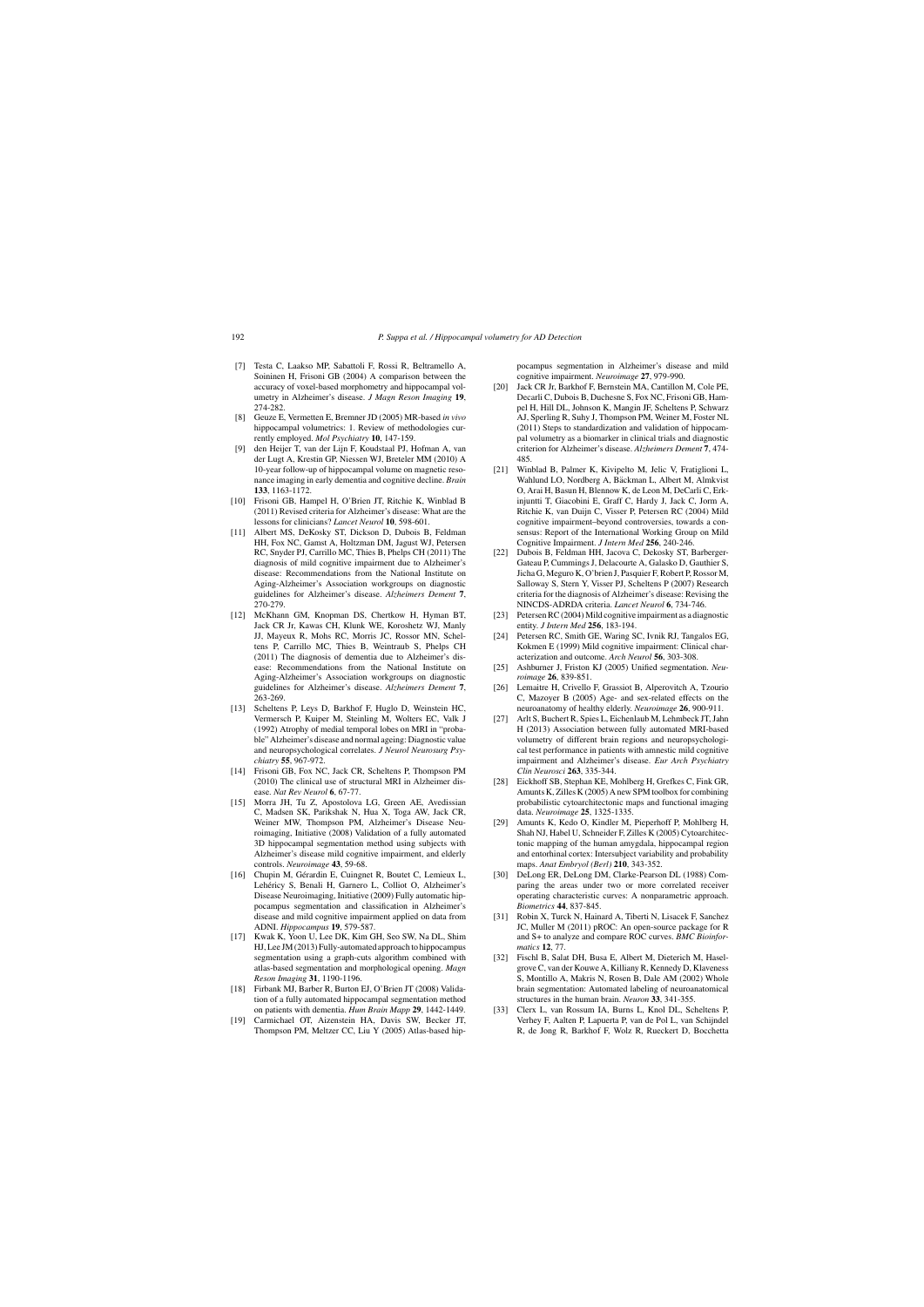- [7] Testa C, Laakso MP, Sabattoli F, Rossi R, Beltramello A, Soininen H, Frisoni GB (2004) A comparison between the accuracy of voxel-based morphometry and hippocampal volumetry in Alzheimer's disease. *J Magn Reson Imaging* **19**, 274-282.
- [8] Geuze E, Vermetten E, Bremner JD (2005) MR-based *in vivo* hippocampal volumetrics: 1. Review of methodologies currently employed. *Mol Psychiatry* **10**, 147-159.
- [9] den Heijer T, van der Lijn F, Koudstaal PJ, Hofman A, van der Lugt A, Krestin GP, Niessen WJ, Breteler MM (2010) A 10-year follow-up of hippocampal volume on magnetic resonance imaging in early dementia and cognitive decline. *Brain* **133**, 1163-1172.
- [10] Frisoni GB, Hampel H, O'Brien JT, Ritchie K, Winblad B (2011) Revised criteria for Alzheimer's disease: What are the lessons for clinicians? *Lancet Neurol* **10**, 598-601.
- [11] Albert MS, DeKosky ST, Dickson D, Dubois B, Feldman HH, Fox NC, Gamst A, Holtzman DM, Jagust WJ, Petersen RC, Snyder PJ, Carrillo MC, Thies B, Phelps CH (2011) The diagnosis of mild cognitive impairment due to Alzheimer's disease: Recommendations from the National Institute on Aging-Alzheimer's Association workgroups on diagnostic guidelines for Alzheimer's disease. *Alzheimers Dement* **7**, 270-279.
- [12] McKhann GM, Knopman DS, Chertkow H, Hyman BT, Jack CR Jr, Kawas CH, Klunk WE, Koroshetz WJ, Manly JJ, Mayeux R, Mohs RC, Morris JC, Rossor MN, Scheltens P, Carrillo MC, Thies B, Weintraub S, Phelps CH (2011) The diagnosis of dementia due to Alzheimer's disease: Recommendations from the National Institute on Aging-Alzheimer's Association workgroups on diagnostic guidelines for Alzheimer's disease. *Alzheimers Dement* **7**, 263-269.
- [13] Scheltens P, Leys D, Barkhof F, Huglo D, Weinstein HC, Vermersch P, Kuiper M, Steinling M, Wolters EC, Valk J (1992) Atrophy of medial temporal lobes on MRI in "probable" Alzheimer's disease and normal ageing: Diagnostic value and neuropsychological correlates. *J Neurol Neurosurg Psychiatry* **55**, 967-972.
- [14] Frisoni GB, Fox NC, Jack CR, Scheltens P, Thompson PM (2010) The clinical use of structural MRI in Alzheimer disease. *Nat Rev Neurol* **6**, 67-77.
- [15] Morra JH, Tu Z, Apostolova LG, Green AE, Avedissian C, Madsen SK, Parikshak N, Hua X, Toga AW, Jack CR, Weiner MW, Thompson PM, Alzheimer's Disease Neuroimaging, Initiative (2008) Validation of a fully automated 3D hippocampal segmentation method using subjects with Alzheimer's disease mild cognitive impairment, and elderly controls. *Neuroimage* **43**, 59-68.
- [16] Chupin M, Gérardin E, Cuingnet R, Boutet C, Lemieux L, Lehéricy S, Benali H, Garnero L, Colliot O, Alzheimer's Disease Neuroimaging, Initiative (2009) Fully automatic hippocampus segmentation and classification in Alzheimer's disease and mild cognitive impairment applied on data from ADNI. *Hippocampus* **19**, 579-587.
- [17] Kwak K, Yoon U, Lee DK, Kim GH, Seo SW, Na DL, Shim HJ, Lee JM (2013) Fully-automated approach to hippocampus segmentation using a graph-cuts algorithm combined with atlas-based segmentation and morphological opening. *Magn Reson Imaging* **31**, 1190-1196.
- [18] Firbank MJ, Barber R, Burton EJ, O'Brien JT (2008) Validation of a fully automated hippocampal segmentation method on patients with dementia. *Hum Brain Mapp* **29**, 1442-1449.
- [19] Carmichael OT, Aizenstein HA, Davis SW, Becker JT, Thompson PM, Meltzer CC, Liu Y (2005) Atlas-based hip-

pocampus segmentation in Alzheimer's disease and mild cognitive impairment. *Neuroimage* **27**, 979-990.

- [20] Jack CR Jr, Barkhof F, Bernstein MA, Cantillon M, Cole PE, Decarli C, Dubois B, Duchesne S, Fox NC, Frisoni GB, Hampel H, Hill DL, Johnson K, Mangin JF, Scheltens P, Schwarz AJ, Sperling R, Suhy J, Thompson PM, Weiner M, Foster NL (2011) Steps to standardization and validation of hippocampal volumetry as a biomarker in clinical trials and diagnostic criterion for Alzheimer's disease. *Alzheimers Dement* **7**, 474- 485.
- [21] Winblad B, Palmer K, Kivipelto M, Jelic V, Fratiglioni L, Wahlund LO, Nordberg A, Bäckman L, Albert M, Almkvist O, Arai H, Basun H, Blennow K, de Leon M, DeCarli C, Erkinjuntti T, Giacobini E, Graff C, Hardy J, Jack C, Jorm A, Ritchie K, van Duijn C, Visser P, Petersen RC (2004) Mild cognitive impairment–beyond controversies, towards a consensus: Report of the International Working Group on Mild Cognitive Impairment. *J Intern Med* **256**, 240-246.
- [22] Dubois B, Feldman HH, Jacova C, Dekosky ST, Barberger-Gateau P, Cummings J, Delacourte A, Galasko D, Gauthier S, Jicha G, Meguro K, O'brien J, Pasquier F, Robert P, Rossor M, Salloway S, Stern Y, Visser PJ, Scheltens P (2007) Research criteria for the diagnosis of Alzheimer's disease: Revising the NINCDS-ADRDA criteria. *Lancet Neurol* **6**, 734-746.
- [23] Petersen RC (2004) Mild cognitive impairment as a diagnostic entity. *J Intern Med* **256**, 183-194.
- [24] Petersen RC, Smith GE, Waring SC, Ivnik RJ, Tangalos EG, Kokmen E (1999) Mild cognitive impairment: Clinical characterization and outcome. *Arch Neurol* **56**, 303-308.
- [25] Ashburner J, Friston KJ (2005) Unified segmentation. *Neuroimage* **26**, 839-851.
- [26] Lemaitre H, Crivello F, Grassiot B, Alperovitch A, Tzourio C, Mazoyer B (2005) Age- and sex-related effects on the neuroanatomy of healthy elderly. *Neuroimage* **26**, 900-911.
- [27] Arlt S, Buchert R, Spies L, Eichenlaub M, Lehmbeck JT, Jahn H (2013) Association between fully automated MRI-based volumetry of different brain regions and neuropsychological test performance in patients with amnestic mild cognitive impairment and Alzheimer's disease. *Eur Arch Psychiatry Clin Neurosci* **263**, 335-344.
- [28] Eickhoff SB, Stephan KE, Mohlberg H, Grefkes C, Fink GR, Amunts K, Zilles K (2005) A new SPM toolbox for combining probabilistic cytoarchitectonic maps and functional imaging data. *Neuroimage* **25**, 1325-1335.
- [29] Amunts K, Kedo O, Kindler M, Pieperhoff P, Mohlberg H, Shah NJ, Habel U, Schneider F, Zilles K (2005) Cytoarchitectonic mapping of the human amygdala, hippocampal region and entorhinal cortex: Intersubject variability and probability maps. *Anat Embryol (Berl)* **210**, 343-352.
- [30] DeLong ER, DeLong DM, Clarke-Pearson DL (1988) Comparing the areas under two or more correlated receiver operating characteristic curves: A nonparametric approach. *Biometrics* **44**, 837-845.
- [31] Robin X, Turck N, Hainard A, Tiberti N, Lisacek F, Sanchez JC, Muller M (2011) pROC: An open-source package for R and S+ to analyze and compare ROC curves. *BMC Bioinformatics* **12**, 77.
- [32] Fischl B, Salat DH, Busa E, Albert M, Dieterich M, Haselgrove C, van der Kouwe A, Killiany R, Kennedy D, Klaveness S, Montillo A, Makris N, Rosen B, Dale AM (2002) Whole brain segmentation: Automated labeling of neuroanatomical structures in the human brain. *Neuron* **33**, 341-355.
- [33] Clerx L, van Rossum IA, Burns L, Knol DL, Scheltens P, Verhey F, Aalten P, Lapuerta P, van de Pol L, van Schijndel R, de Jong R, Barkhof F, Wolz R, Rueckert D, Bocchetta